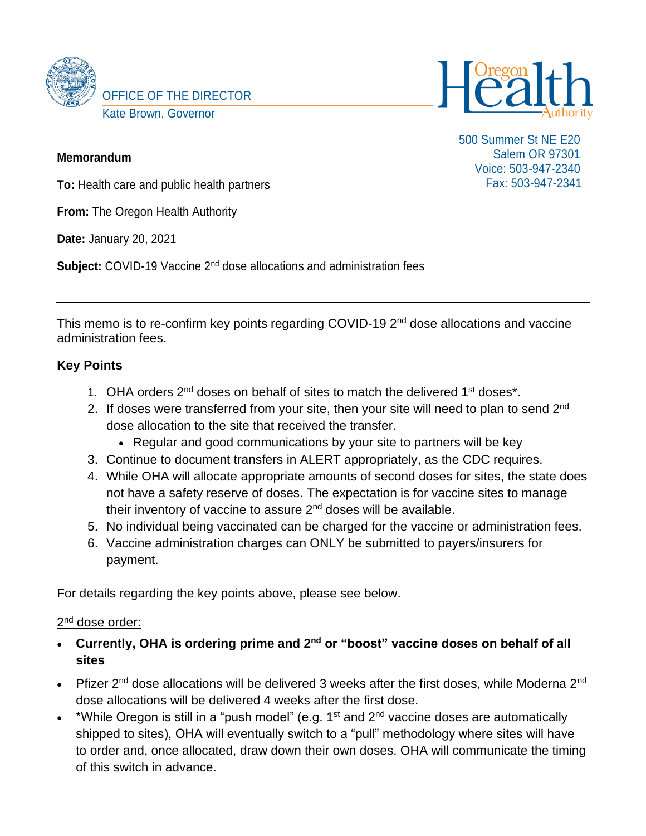



500 Summer St NE E20 Salem OR 97301 Voice: 503-947-2340 Fax: 503-947-2341

### **Memorandum**

**To:** Health care and public health partners

**From:** The Oregon Health Authority

**Date:** January 20, 2021

**Subject:** COVID-19 Vaccine 2<sup>nd</sup> dose allocations and administration fees

This memo is to re-confirm key points regarding COVID-19 2<sup>nd</sup> dose allocations and vaccine administration fees.

## **Key Points**

- 1. OHA orders 2<sup>nd</sup> doses on behalf of sites to match the delivered 1<sup>st</sup> doses<sup>\*</sup>.
- 2. If doses were transferred from your site, then your site will need to plan to send 2<sup>nd</sup> dose allocation to the site that received the transfer.
	- Regular and good communications by your site to partners will be key
- 3. Continue to document transfers in ALERT appropriately, as the CDC requires.
- 4. While OHA will allocate appropriate amounts of second doses for sites, the state does not have a safety reserve of doses. The expectation is for vaccine sites to manage their inventory of vaccine to assure 2nd doses will be available.
- 5. No individual being vaccinated can be charged for the vaccine or administration fees.
- 6. Vaccine administration charges can ONLY be submitted to payers/insurers for payment.

For details regarding the key points above, please see below.

## 2<sup>nd</sup> dose order:

- **Currently, OHA is ordering prime and 2nd or "boost" vaccine doses on behalf of all sites**
- Pfizer  $2^{nd}$  dose allocations will be delivered 3 weeks after the first doses, while Moderna  $2^{nd}$ dose allocations will be delivered 4 weeks after the first dose.
- \*While Oregon is still in a "push model" (e.g.  $1<sup>st</sup>$  and  $2<sup>nd</sup>$  vaccine doses are automatically shipped to sites), OHA will eventually switch to a "pull" methodology where sites will have to order and, once allocated, draw down their own doses. OHA will communicate the timing of this switch in advance.